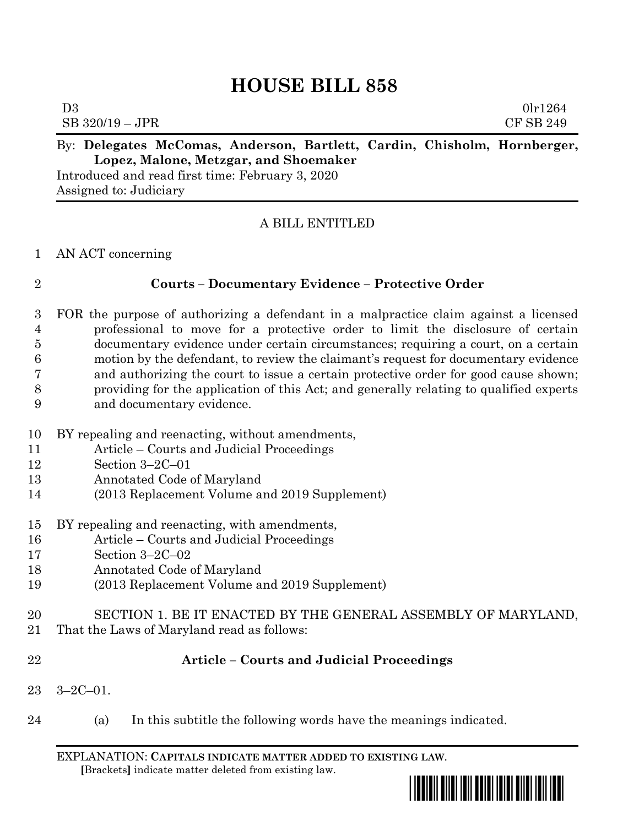# **HOUSE BILL 858**

| By: Delegates McComas, Anderson, Bartlett, Cardin, Chisholm, Hornberger, |  |  |           |
|--------------------------------------------------------------------------|--|--|-----------|
| SB 320/19 – JPR                                                          |  |  | CF SB 249 |
| D3                                                                       |  |  | 0lr1264   |

**Lopez, Malone, Metzgar, and Shoemaker**

Introduced and read first time: February 3, 2020 Assigned to: Judiciary

# A BILL ENTITLED

### AN ACT concerning

## **Courts – Documentary Evidence – Protective Order**

- FOR the purpose of authorizing a defendant in a malpractice claim against a licensed professional to move for a protective order to limit the disclosure of certain documentary evidence under certain circumstances; requiring a court, on a certain motion by the defendant, to review the claimant's request for documentary evidence and authorizing the court to issue a certain protective order for good cause shown; providing for the application of this Act; and generally relating to qualified experts and documentary evidence.
- BY repealing and reenacting, without amendments,
- Article Courts and Judicial Proceedings
- Section 3–2C–01
- Annotated Code of Maryland
- (2013 Replacement Volume and 2019 Supplement)
- BY repealing and reenacting, with amendments,
- Article Courts and Judicial Proceedings
- Section 3–2C–02
- Annotated Code of Maryland
- (2013 Replacement Volume and 2019 Supplement)
- SECTION 1. BE IT ENACTED BY THE GENERAL ASSEMBLY OF MARYLAND,
- That the Laws of Maryland read as follows:
- 

# **Article – Courts and Judicial Proceedings**

- 3–2C–01.
- (a) In this subtitle the following words have the meanings indicated.

EXPLANATION: **CAPITALS INDICATE MATTER ADDED TO EXISTING LAW**.  **[**Brackets**]** indicate matter deleted from existing law.

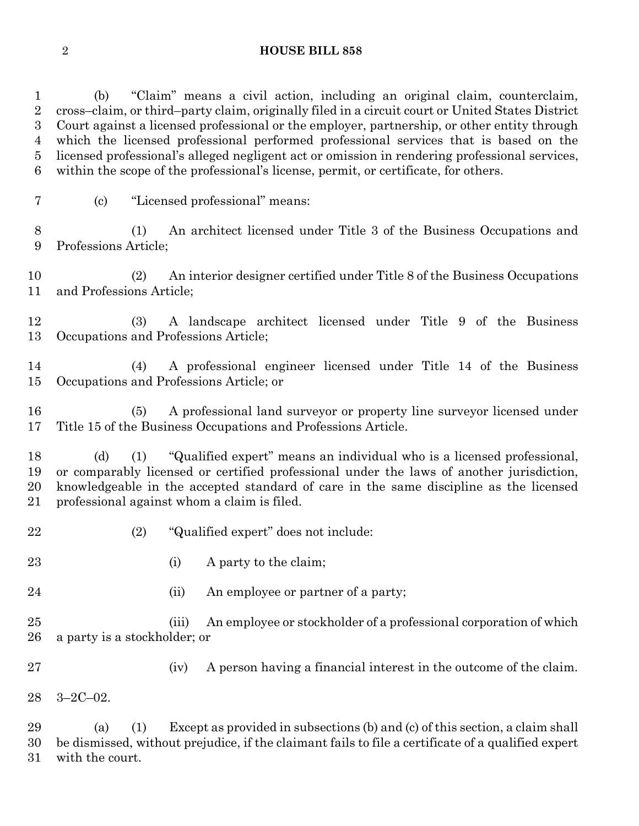#### **HOUSE BILL 858**

 (b) "Claim" means a civil action, including an original claim, counterclaim, cross–claim, or third–party claim, originally filed in a circuit court or United States District Court against a licensed professional or the employer, partnership, or other entity through which the licensed professional performed professional services that is based on the licensed professional's alleged negligent act or omission in rendering professional services, within the scope of the professional's license, permit, or certificate, for others.

(c) "Licensed professional" means:

 (1) An architect licensed under Title 3 of the Business Occupations and Professions Article;

 (2) An interior designer certified under Title 8 of the Business Occupations and Professions Article;

 (3) A landscape architect licensed under Title 9 of the Business Occupations and Professions Article;

 (4) A professional engineer licensed under Title 14 of the Business Occupations and Professions Article; or

 (5) A professional land surveyor or property line surveyor licensed under Title 15 of the Business Occupations and Professions Article.

 (d) (1) "Qualified expert" means an individual who is a licensed professional, or comparably licensed or certified professional under the laws of another jurisdiction, knowledgeable in the accepted standard of care in the same discipline as the licensed professional against whom a claim is filed.

- (2) "Qualified expert" does not include:
- 23 (i) A party to the claim;
- 24 (ii) An employee or partner of a party;

 (iii) An employee or stockholder of a professional corporation of which a party is a stockholder; or

(iv) A person having a financial interest in the outcome of the claim.

3–2C–02.

 (a) (1) Except as provided in subsections (b) and (c) of this section, a claim shall be dismissed, without prejudice, if the claimant fails to file a certificate of a qualified expert with the court.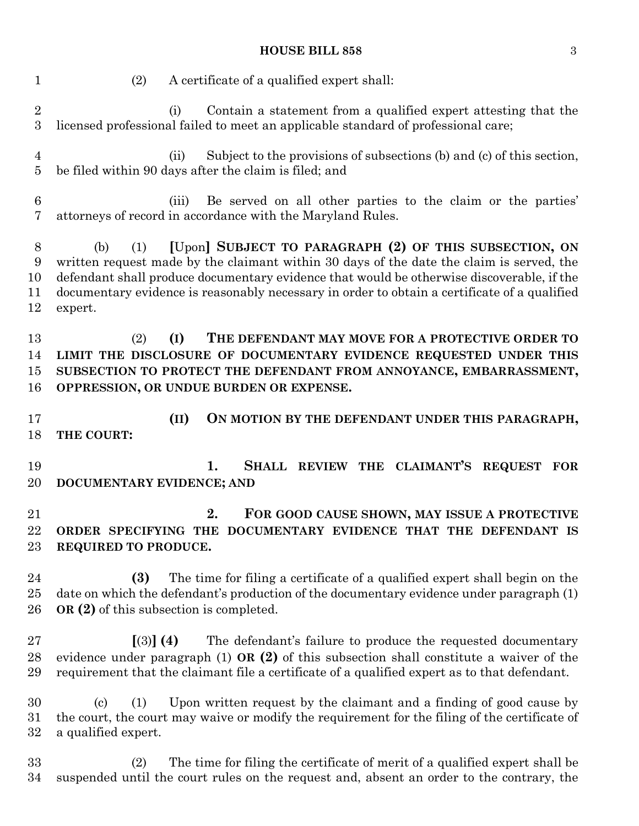#### **HOUSE BILL 858** 3

 (2) A certificate of a qualified expert shall: (i) Contain a statement from a qualified expert attesting that the licensed professional failed to meet an applicable standard of professional care; (ii) Subject to the provisions of subsections (b) and (c) of this section, be filed within 90 days after the claim is filed; and (iii) Be served on all other parties to the claim or the parties' attorneys of record in accordance with the Maryland Rules. (b) (1) **[**Upon**] SUBJECT TO PARAGRAPH (2) OF THIS SUBSECTION, ON** written request made by the claimant within 30 days of the date the claim is served, the defendant shall produce documentary evidence that would be otherwise discoverable, if the documentary evidence is reasonably necessary in order to obtain a certificate of a qualified expert. (2) **(I) THE DEFENDANT MAY MOVE FOR A PROTECTIVE ORDER TO LIMIT THE DISCLOSURE OF DOCUMENTARY EVIDENCE REQUESTED UNDER THIS SUBSECTION TO PROTECT THE DEFENDANT FROM ANNOYANCE, EMBARRASSMENT, OPPRESSION, OR UNDUE BURDEN OR EXPENSE. (II) ON MOTION BY THE DEFENDANT UNDER THIS PARAGRAPH, THE COURT: 1. SHALL REVIEW THE CLAIMANT'S REQUEST FOR DOCUMENTARY EVIDENCE; AND 2. FOR GOOD CAUSE SHOWN, MAY ISSUE A PROTECTIVE ORDER SPECIFYING THE DOCUMENTARY EVIDENCE THAT THE DEFENDANT IS REQUIRED TO PRODUCE. (3)** The time for filing a certificate of a qualified expert shall begin on the date on which the defendant's production of the documentary evidence under paragraph (1) **OR (2)** of this subsection is completed. **[**(3)**] (4)** The defendant's failure to produce the requested documentary evidence under paragraph (1) **OR (2)** of this subsection shall constitute a waiver of the requirement that the claimant file a certificate of a qualified expert as to that defendant. (c) (1) Upon written request by the claimant and a finding of good cause by the court, the court may waive or modify the requirement for the filing of the certificate of a qualified expert. (2) The time for filing the certificate of merit of a qualified expert shall be suspended until the court rules on the request and, absent an order to the contrary, the